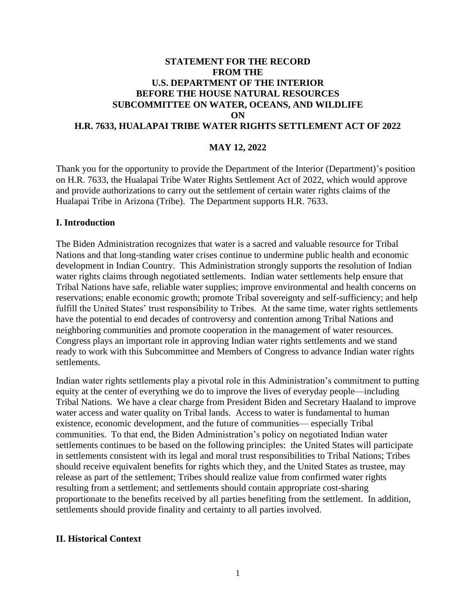# **STATEMENT FOR THE RECORD FROM THE U.S. DEPARTMENT OF THE INTERIOR BEFORE THE HOUSE NATURAL RESOURCES SUBCOMMITTEE ON WATER, OCEANS, AND WILDLIFE ON H.R. 7633, HUALAPAI TRIBE WATER RIGHTS SETTLEMENT ACT OF 2022**

### **MAY 12, 2022**

Thank you for the opportunity to provide the Department of the Interior (Department)'s position on H.R. 7633, the Hualapai Tribe Water Rights Settlement Act of 2022, which would approve and provide authorizations to carry out the settlement of certain water rights claims of the Hualapai Tribe in Arizona (Tribe). The Department supports H.R. 7633.

#### **I. Introduction**

The Biden Administration recognizes that water is a sacred and valuable resource for Tribal Nations and that long-standing water crises continue to undermine public health and economic development in Indian Country. This Administration strongly supports the resolution of Indian water rights claims through negotiated settlements. Indian water settlements help ensure that Tribal Nations have safe, reliable water supplies; improve environmental and health concerns on reservations; enable economic growth; promote Tribal sovereignty and self-sufficiency; and help fulfill the United States' trust responsibility to Tribes. At the same time, water rights settlements have the potential to end decades of controversy and contention among Tribal Nations and neighboring communities and promote cooperation in the management of water resources. Congress plays an important role in approving Indian water rights settlements and we stand ready to work with this Subcommittee and Members of Congress to advance Indian water rights settlements.

Indian water rights settlements play a pivotal role in this Administration's commitment to putting equity at the center of everything we do to improve the lives of everyday people—including Tribal Nations. We have a clear charge from President Biden and Secretary Haaland to improve water access and water quality on Tribal lands. Access to water is fundamental to human existence, economic development, and the future of communities— especially Tribal communities. To that end, the Biden Administration's policy on negotiated Indian water settlements continues to be based on the following principles: the United States will participate in settlements consistent with its legal and moral trust responsibilities to Tribal Nations; Tribes should receive equivalent benefits for rights which they, and the United States as trustee, may release as part of the settlement; Tribes should realize value from confirmed water rights resulting from a settlement; and settlements should contain appropriate cost-sharing proportionate to the benefits received by all parties benefiting from the settlement. In addition, settlements should provide finality and certainty to all parties involved.

#### **II. Historical Context**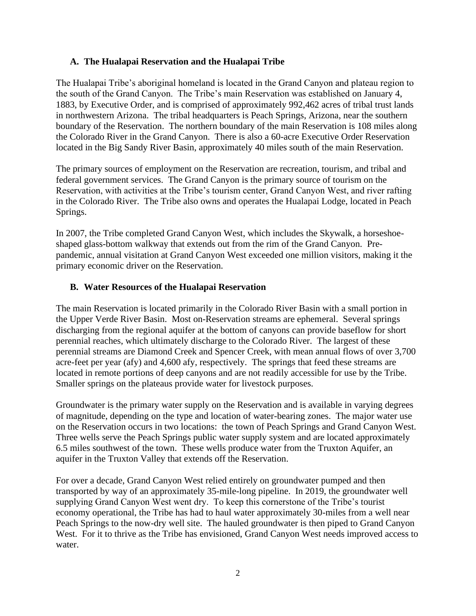### **A. The Hualapai Reservation and the Hualapai Tribe**

The Hualapai Tribe's aboriginal homeland is located in the Grand Canyon and plateau region to the south of the Grand Canyon. The Tribe's main Reservation was established on January 4, 1883, by Executive Order, and is comprised of approximately 992,462 acres of tribal trust lands in northwestern Arizona. The tribal headquarters is Peach Springs, Arizona, near the southern boundary of the Reservation. The northern boundary of the main Reservation is 108 miles along the Colorado River in the Grand Canyon. There is also a 60-acre Executive Order Reservation located in the Big Sandy River Basin, approximately 40 miles south of the main Reservation.

The primary sources of employment on the Reservation are recreation, tourism, and tribal and federal government services. The Grand Canyon is the primary source of tourism on the Reservation, with activities at the Tribe's tourism center, Grand Canyon West, and river rafting in the Colorado River. The Tribe also owns and operates the Hualapai Lodge, located in Peach Springs.

In 2007, the Tribe completed Grand Canyon West, which includes the Skywalk, a horseshoeshaped glass-bottom walkway that extends out from the rim of the Grand Canyon. Prepandemic, annual visitation at Grand Canyon West exceeded one million visitors, making it the primary economic driver on the Reservation.

### **B. Water Resources of the Hualapai Reservation**

The main Reservation is located primarily in the Colorado River Basin with a small portion in the Upper Verde River Basin. Most on-Reservation streams are ephemeral. Several springs discharging from the regional aquifer at the bottom of canyons can provide baseflow for short perennial reaches, which ultimately discharge to the Colorado River. The largest of these perennial streams are Diamond Creek and Spencer Creek, with mean annual flows of over 3,700 acre-feet per year (afy) and 4,600 afy, respectively. The springs that feed these streams are located in remote portions of deep canyons and are not readily accessible for use by the Tribe. Smaller springs on the plateaus provide water for livestock purposes.

Groundwater is the primary water supply on the Reservation and is available in varying degrees of magnitude, depending on the type and location of water-bearing zones. The major water use on the Reservation occurs in two locations: the town of Peach Springs and Grand Canyon West. Three wells serve the Peach Springs public water supply system and are located approximately 6.5 miles southwest of the town. These wells produce water from the Truxton Aquifer, an aquifer in the Truxton Valley that extends off the Reservation.

For over a decade, Grand Canyon West relied entirely on groundwater pumped and then transported by way of an approximately 35-mile-long pipeline. In 2019, the groundwater well supplying Grand Canyon West went dry. To keep this cornerstone of the Tribe's tourist economy operational, the Tribe has had to haul water approximately 30-miles from a well near Peach Springs to the now-dry well site. The hauled groundwater is then piped to Grand Canyon West. For it to thrive as the Tribe has envisioned, Grand Canyon West needs improved access to water.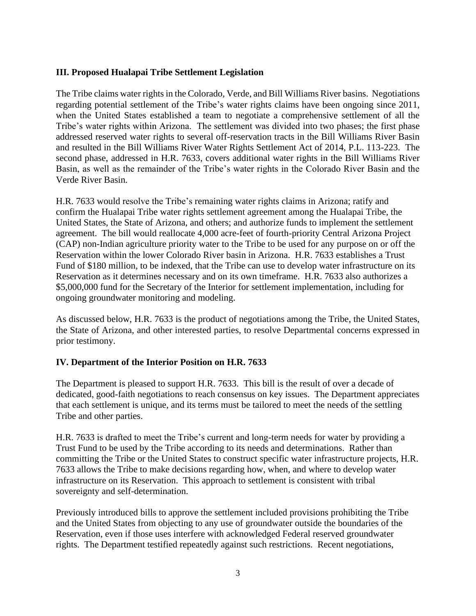## **III. Proposed Hualapai Tribe Settlement Legislation**

The Tribe claims water rights in the Colorado, Verde, and Bill Williams River basins. Negotiations regarding potential settlement of the Tribe's water rights claims have been ongoing since 2011, when the United States established a team to negotiate a comprehensive settlement of all the Tribe's water rights within Arizona. The settlement was divided into two phases; the first phase addressed reserved water rights to several off-reservation tracts in the Bill Williams River Basin and resulted in the Bill Williams River Water Rights Settlement Act of 2014, P.L. 113-223. The second phase, addressed in H.R. 7633, covers additional water rights in the Bill Williams River Basin, as well as the remainder of the Tribe's water rights in the Colorado River Basin and the Verde River Basin.

H.R. 7633 would resolve the Tribe's remaining water rights claims in Arizona; ratify and confirm the Hualapai Tribe water rights settlement agreement among the Hualapai Tribe, the United States, the State of Arizona, and others; and authorize funds to implement the settlement agreement. The bill would reallocate 4,000 acre-feet of fourth-priority Central Arizona Project (CAP) non-Indian agriculture priority water to the Tribe to be used for any purpose on or off the Reservation within the lower Colorado River basin in Arizona. H.R. 7633 establishes a Trust Fund of \$180 million, to be indexed, that the Tribe can use to develop water infrastructure on its Reservation as it determines necessary and on its own timeframe. H.R. 7633 also authorizes a \$5,000,000 fund for the Secretary of the Interior for settlement implementation, including for ongoing groundwater monitoring and modeling.

As discussed below, H.R. 7633 is the product of negotiations among the Tribe, the United States, the State of Arizona, and other interested parties, to resolve Departmental concerns expressed in prior testimony.

#### **IV. Department of the Interior Position on H.R. 7633**

The Department is pleased to support H.R. 7633. This bill is the result of over a decade of dedicated, good-faith negotiations to reach consensus on key issues. The Department appreciates that each settlement is unique, and its terms must be tailored to meet the needs of the settling Tribe and other parties.

H.R. 7633 is drafted to meet the Tribe's current and long-term needs for water by providing a Trust Fund to be used by the Tribe according to its needs and determinations. Rather than committing the Tribe or the United States to construct specific water infrastructure projects, H.R. 7633 allows the Tribe to make decisions regarding how, when, and where to develop water infrastructure on its Reservation. This approach to settlement is consistent with tribal sovereignty and self-determination.

Previously introduced bills to approve the settlement included provisions prohibiting the Tribe and the United States from objecting to any use of groundwater outside the boundaries of the Reservation, even if those uses interfere with acknowledged Federal reserved groundwater rights. The Department testified repeatedly against such restrictions. Recent negotiations,